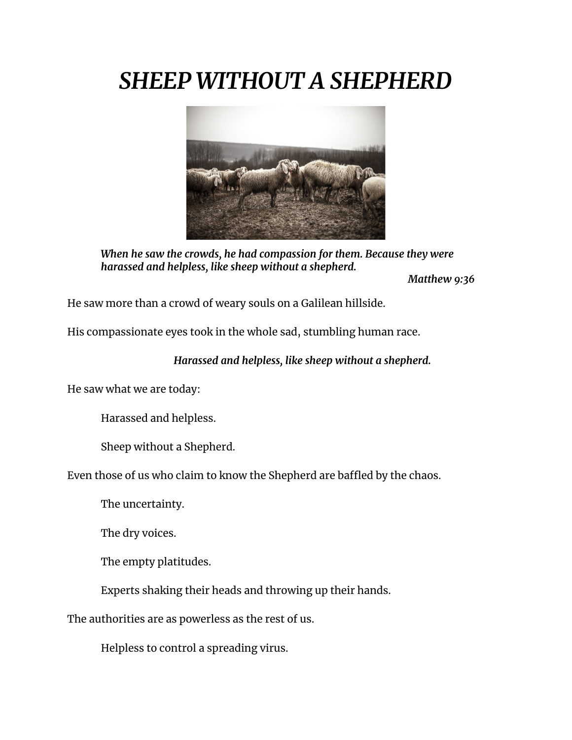## *SHEEP WITHOUT A SHEPHERD*



*When he saw the crowds, he had compassion for them. Because they were harassed and helpless, like sheep without a shepherd.*

*Matthew 9:36*

He saw more than a crowd of weary souls on a Galilean hillside.

His compassionate eyes took in the whole sad, stumbling human race.

## *Harassed and helpless, like sheep without a shepherd.*

He saw what we are today:

Harassed and helpless.

Sheep without a Shepherd.

Even those of us who claim to know the Shepherd are baffled by the chaos.

The uncertainty.

The dry voices.

The empty platitudes.

Experts shaking their heads and throwing up their hands.

The authorities are as powerless as the rest of us.

Helpless to control a spreading virus.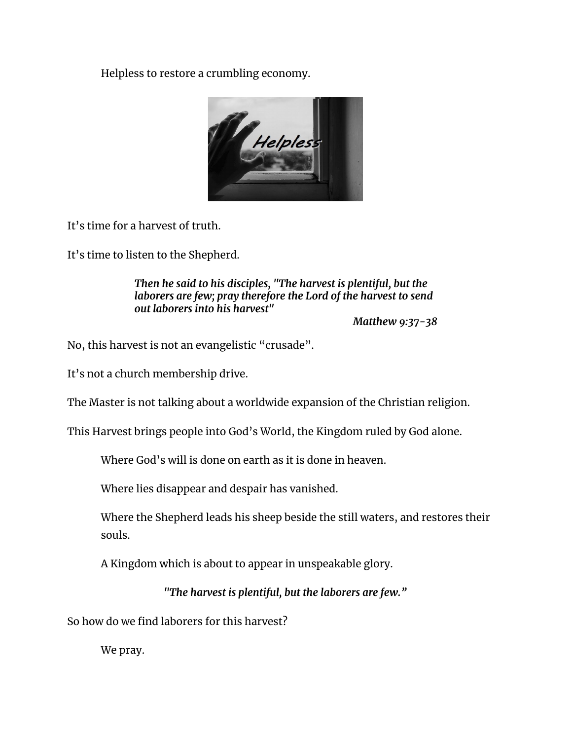Helpless to restore a crumbling economy.



It's time for a harvest of truth.

It's time to listen to the Shepherd.

*Then he said to his disciples, "The harvest is plentiful, but the laborers are few; pray therefore the Lord of the harvest to send out laborers into his harvest"*

*Matthew 9:37-38*

No, this harvest is not an evangelistic "crusade".

It's not a church membership drive.

The Master is not talking about a worldwide expansion of the Christian religion.

This Harvest brings people into God's World, the Kingdom ruled by God alone.

Where God's will is done on earth as it is done in heaven.

Where lies disappear and despair has vanished.

Where the Shepherd leads his sheep beside the still waters, and restores their souls.

A Kingdom which is about to appear in unspeakable glory.

*"The harvest is plentiful, but the laborers are few."*

So how do we find laborers for this harvest?

We pray.